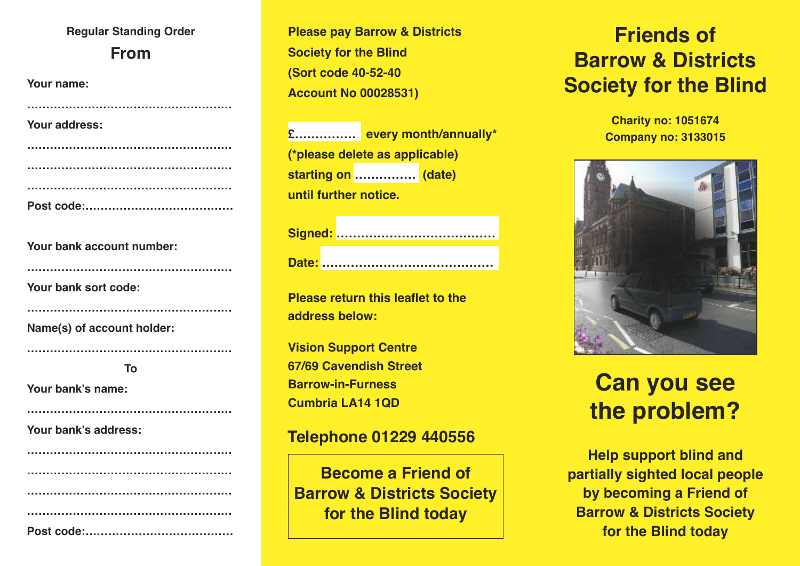## **Regular Standing Order From**

| Your name:    |
|---------------|
|               |
| Your address: |
|               |
|               |
|               |
|               |
|               |

**Your bank account number:**

|  |  |  | Your bank sort code: |
|--|--|--|----------------------|
|--|--|--|----------------------|

**Name(s) of account holder:**

**To**

**………………………………………………**

**………………………………………………**

**………………………………………………**

**………………………………………………**

**Your bank's name:**

**Your bank's address:**

**Please pay Barrow & Districts Society for the Blind (Sort code 40-52-40 Account No 00028531)**

**£…………… every month/annually\* (\*please delete as applicable) starting on …………… (date) until further notice.**

**Please return this leaflet to the address below:**

**Vision Support Centre 67/69 Cavendish Street Barrow-in-Furness Cumbria LA14 1QD**

### **Telephone 01229 440556**

**Become a Friend of Barrow & Districts Society for the Blind today**

# **Friends of Barrow & Districts Society for the Blind**

**Charity no: 1051674 Company no: 3133015**



# **Can you see the problem?**

**Help support blind and partially sighted local people by becoming a Friend of Barrow & Districts Society for the Blind today**